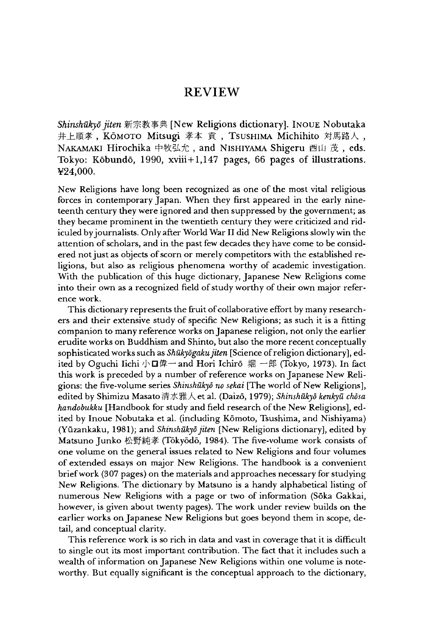## **REVIEW**

*Shinshukyo jiten* 新宗教事典[New Religions dictionary]. Inoue Nobutaka 井上順孝, Kōmoto Mitsugi 孝本 貢, Tsushima Michihito 対馬路人, NAKAMAKI Hirochika 中牧弘允, and NISHIYAMA Shigeru 西山茂, eds. Tokyo: Kōbundō, 1990, xviii+1,147 pages, 66 pages of illustrations. ¥24,000.

New Religions have long been recognized as one of the most vital religious forces in contemporary Japan. When they first appeared in the early nineteenth century they were ignored and then suppressed by the government; as they became prominent in the twentieth century they were criticized and ridiculed by journalists. Only after World War II did New Religions slowly win the attention of scholars, and in the past few decades they have come to be considered not just as objects of scorn or merely competitors with the established religions, but also as religious phenomena worthy of academic investigation. With the publication of this huge dictionary, Japanese New Religions come into their own as a recognized field of study worthy of their own major reference work.

This dictionary represents the fruit of collaborative effort by many researchers and their extensive study of specific New Religions; as such it is a fitting companion to many reference works on Japanese religion, not only the earlier erudite works on Buddhism and Shinto, but also the more recent conceptually sophisticated works such as *Shukydgaku jiten* [Science of religion dictionary], edited by Oguchi Iichi 小口偉一 and Hori Ichiro 堀 一 郎 (Tokyo, 1973). In fact this work is preceded by a number of reference works on Japanese New Religions: the five-volume series *Shmshukyo no sekai* [The world of New Religions], edited by Shimizu Masato 清水雅人 et al.(Daizo, 1979); *Shinshukyo kenkyu chosa handobukku* [Handbook for study and field research of the New Religions], edited by Inoue Nobutaka et al. (including Komoto, Tsushima, and Nishiyama) (Yuzankaku, 1981); and *Snmshukyo jiten* [New Religions dictionary], edited by Matsuno Junko 松野純孝 (Tōkyōdō, 1984). The five-volume work consists of one volume on the general issues related to New Religions and four volumes of extended essays on major New Religions. The handbook is a convenient brief work (307 pages) on the materials and approaches necessary for studying New Religions. The dictionary by Matsuno is a handy alphabetical listing of numerous New Religions with a page or two of information (Soka Gakkai, however, is given about twenty pages). The work under review builds on the earlier works on Japanese New Religions but goes beyond them in scope, detail, and conceptual clarity.

This reference work is *so* rich in data and vast in coverage that it is difficult to single out its most important contribution. The fact that it includes such a wealth of information on Japanese New Religions within one volume is noteworthy. But equally significant is the conceptual approach to the dictionary,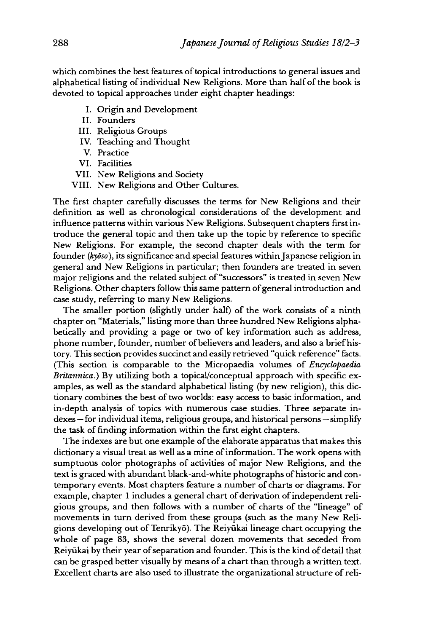which combines the best features of topical introductions to general issues and alphabetical listing of individual New Religions. More than half of the book is devoted to topical approaches under eight chapter headings

- I. Origin and Development
- II. Founders
- III. Religious Groups
- IV. Teaching and Thought
- V. Practice
- VI. Facilities
- VII. New Religions and Society
- VIII. New Religions and Other Cultures.

The first chapter carefully discusses the terms for New Religions and their definition as well as chronological considerations of the development and influence patterns within various New Religions. Subsequent chapters first introduce the general topic and then take up the topic by reference to specific New Religions. For example, the second chapter deals with the term for founder (kyōso), its significance and special features within Japanese religion in general and New Religions in particular; then founders are treated in seven major religions and the related subject of "successors" is treated in seven New Religions. Other chapters follow this same pattern of general introduction and case study, referring to many New Religions.

The smaller portion (slightly under half) of the work consists of a ninth chapter on "Materials," listing more than three hundred New Religions alphabetically and providing a page or two of key information such as address, phone number, founder, number of believers and leaders, and also a brief history. This section provides succinct and easily retrieved "quick reference" facts. (This section is comparable to the Micropaedia volumes of *Encyclopaedia Britannica.)* By utilizing both a topical/conceptual approach with specific examples, as well as the standard alphabetical listing (by new religion), this dictionary combines the best of two worlds: easy access to basic information, and in-depth analysis of topics with numerous case studies. Three separate indexes —for individual items, religious groups, and historical persons—simplify the task of finding information within the first eight chapters.

The indexes are but one example of the elaborate apparatus that makes this dictionary a visual treat as well as a mine of information. The work opens with sumptuous color photographs of activities of major New Religions, and the text is graced with abundant black-and-white photographs of historic and contemporary events. Most chapters feature a number of charts or diagrams. For example, chapter 1 includes a general chart of derivation of independent religious groups, and then follows with a number of charts of the "lineage" of movements in turn derived from these groups (such as the many New Religions developing out of Tenrikyō). The Reiyūkai lineage chart occupying the whole of page 83, shows the several dozen movements that seceded from Reiyūkai by their year of separation and founder. This is the kind of detail that can be grasped better visually by means of a chart than through a written text. Excellent charts are also used to illustrate the organizational structure of reli